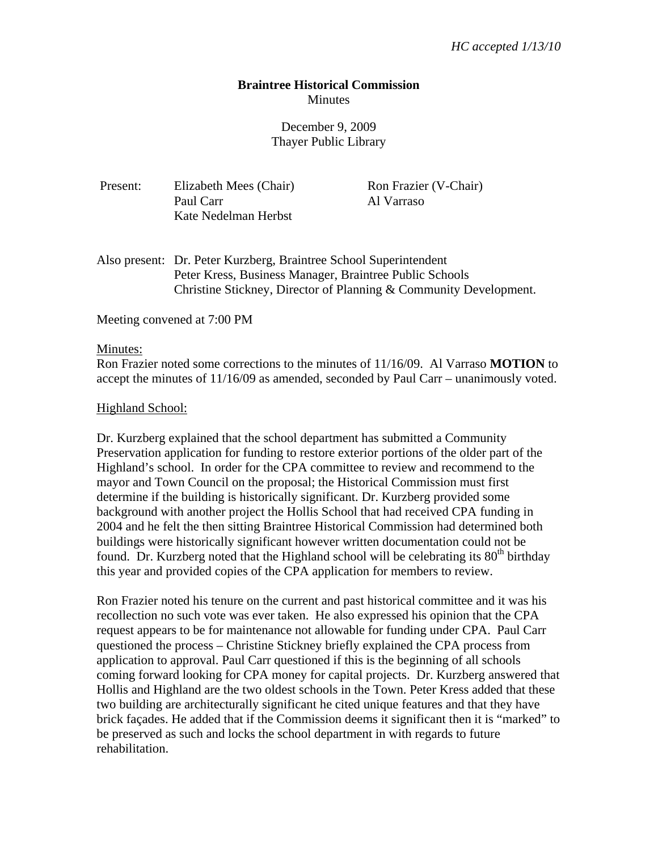# **Braintree Historical Commission Minutes**

# December 9, 2009 Thayer Public Library

Ron Frazier (V-Chair)

Al Varraso

| Present: | Elizabeth Mees (Chair) |
|----------|------------------------|
|          | Paul Carr              |
|          | Kate Nedelman Herbst   |

Also present: Dr. Peter Kurzberg, Braintree School Superintendent Peter Kress, Business Manager, Braintree Public Schools Christine Stickney, Director of Planning & Community Development.

Meeting convened at 7:00 PM

#### Minutes:

Ron Frazier noted some corrections to the minutes of 11/16/09. Al Varraso **MOTION** to accept the minutes of 11/16/09 as amended, seconded by Paul Carr – unanimously voted.

#### Highland School:

Dr. Kurzberg explained that the school department has submitted a Community Preservation application for funding to restore exterior portions of the older part of the Highland's school. In order for the CPA committee to review and recommend to the mayor and Town Council on the proposal; the Historical Commission must first determine if the building is historically significant. Dr. Kurzberg provided some background with another project the Hollis School that had received CPA funding in 2004 and he felt the then sitting Braintree Historical Commission had determined both buildings were historically significant however written documentation could not be found. Dr. Kurzberg noted that the Highland school will be celebrating its  $80<sup>th</sup>$  birthday this year and provided copies of the CPA application for members to review.

Ron Frazier noted his tenure on the current and past historical committee and it was his recollection no such vote was ever taken. He also expressed his opinion that the CPA request appears to be for maintenance not allowable for funding under CPA. Paul Carr questioned the process – Christine Stickney briefly explained the CPA process from application to approval. Paul Carr questioned if this is the beginning of all schools coming forward looking for CPA money for capital projects. Dr. Kurzberg answered that Hollis and Highland are the two oldest schools in the Town. Peter Kress added that these two building are architecturally significant he cited unique features and that they have brick façades. He added that if the Commission deems it significant then it is "marked" to be preserved as such and locks the school department in with regards to future rehabilitation.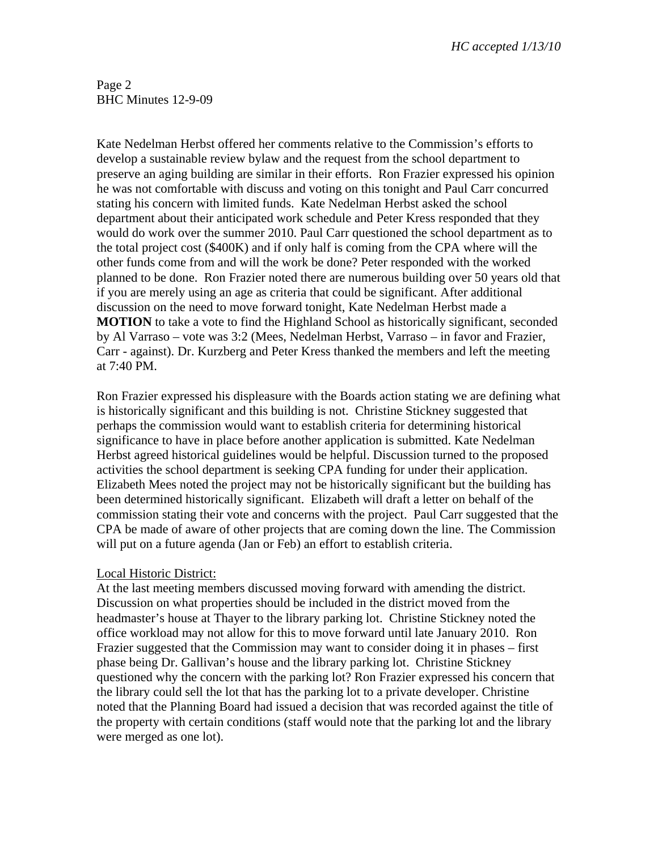Page 2 BHC Minutes 12-9-09

Kate Nedelman Herbst offered her comments relative to the Commission's efforts to develop a sustainable review bylaw and the request from the school department to preserve an aging building are similar in their efforts. Ron Frazier expressed his opinion he was not comfortable with discuss and voting on this tonight and Paul Carr concurred stating his concern with limited funds. Kate Nedelman Herbst asked the school department about their anticipated work schedule and Peter Kress responded that they would do work over the summer 2010. Paul Carr questioned the school department as to the total project cost (\$400K) and if only half is coming from the CPA where will the other funds come from and will the work be done? Peter responded with the worked planned to be done. Ron Frazier noted there are numerous building over 50 years old that if you are merely using an age as criteria that could be significant. After additional discussion on the need to move forward tonight, Kate Nedelman Herbst made a **MOTION** to take a vote to find the Highland School as historically significant, seconded by Al Varraso – vote was 3:2 (Mees, Nedelman Herbst, Varraso – in favor and Frazier, Carr - against). Dr. Kurzberg and Peter Kress thanked the members and left the meeting at 7:40 PM.

Ron Frazier expressed his displeasure with the Boards action stating we are defining what is historically significant and this building is not. Christine Stickney suggested that perhaps the commission would want to establish criteria for determining historical significance to have in place before another application is submitted. Kate Nedelman Herbst agreed historical guidelines would be helpful. Discussion turned to the proposed activities the school department is seeking CPA funding for under their application. Elizabeth Mees noted the project may not be historically significant but the building has been determined historically significant. Elizabeth will draft a letter on behalf of the commission stating their vote and concerns with the project. Paul Carr suggested that the CPA be made of aware of other projects that are coming down the line. The Commission will put on a future agenda (Jan or Feb) an effort to establish criteria.

### Local Historic District:

At the last meeting members discussed moving forward with amending the district. Discussion on what properties should be included in the district moved from the headmaster's house at Thayer to the library parking lot. Christine Stickney noted the office workload may not allow for this to move forward until late January 2010. Ron Frazier suggested that the Commission may want to consider doing it in phases – first phase being Dr. Gallivan's house and the library parking lot. Christine Stickney questioned why the concern with the parking lot? Ron Frazier expressed his concern that the library could sell the lot that has the parking lot to a private developer. Christine noted that the Planning Board had issued a decision that was recorded against the title of the property with certain conditions (staff would note that the parking lot and the library were merged as one lot).